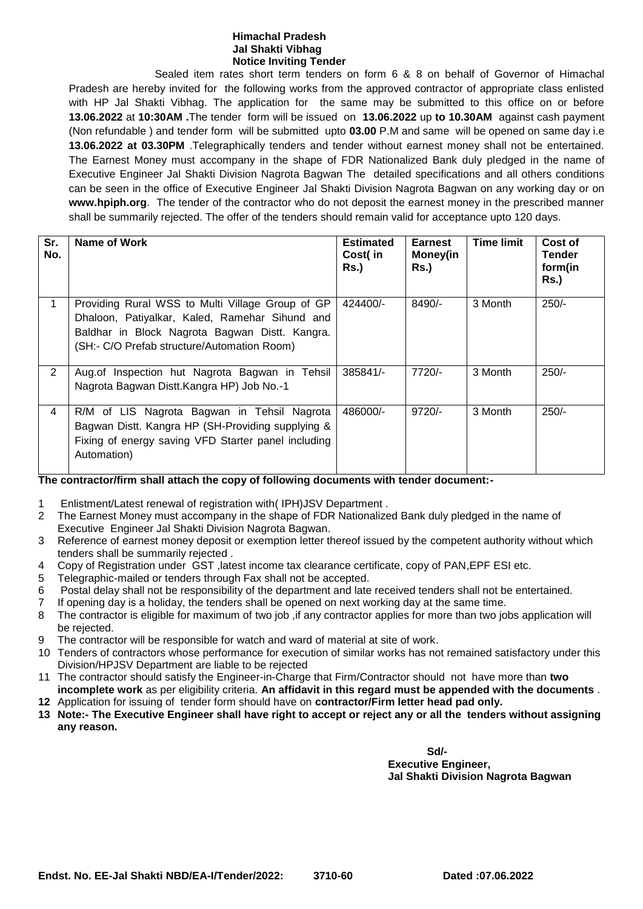## **Himachal Pradesh Jal Shakti Vibhag Notice Inviting Tender**

Sealed item rates short term tenders on form 6 & 8 on behalf of Governor of Himachal Pradesh are hereby invited for the following works from the approved contractor of appropriate class enlisted with HP Jal Shakti Vibhag. The application for the same may be submitted to this office on or before **13.06.2022** at **10:30AM .**The tender form will be issued on **13.06.2022** up **to 10.30AM** against cash payment (Non refundable ) and tender form will be submitted upto **03.00** P.M and same will be opened on same day i.e **13.06.2022 at 03.30PM** .Telegraphically tenders and tender without earnest money shall not be entertained. The Earnest Money must accompany in the shape of FDR Nationalized Bank duly pledged in the name of Executive Engineer Jal Shakti Division Nagrota Bagwan The detailed specifications and all others conditions can be seen in the office of Executive Engineer Jal Shakti Division Nagrota Bagwan on any working day or on **www.hpiph.org**. The tender of the contractor who do not deposit the earnest money in the prescribed manner shall be summarily rejected. The offer of the tenders should remain valid for acceptance upto 120 days.

| Sr.<br>No.     | Name of Work                                                                                                                                                                                        | <b>Estimated</b><br>Cost(in<br>Rs.) | Earnest<br><b>Money(in</b><br><b>Rs.)</b> | <b>Time limit</b> | Cost of<br>Tender<br>form(in<br><b>Rs.)</b> |
|----------------|-----------------------------------------------------------------------------------------------------------------------------------------------------------------------------------------------------|-------------------------------------|-------------------------------------------|-------------------|---------------------------------------------|
|                | Providing Rural WSS to Multi Village Group of GP<br>Dhaloon, Patiyalkar, Kaled, Ramehar Sihund and<br>Baldhar in Block Nagrota Bagwan Distt. Kangra.<br>(SH:- C/O Prefab structure/Automation Room) | 424400/-                            | 8490/-                                    | 3 Month           | $250/-$                                     |
| $\overline{2}$ | Aug. of Inspection hut Nagrota Bagwan in Tehsil<br>Nagrota Bagwan Distt.Kangra HP) Job No.-1                                                                                                        | 385841/-                            | 7720/-                                    | 3 Month           | $250/-$                                     |
| 4              | R/M of LIS Nagrota Bagwan in Tehsil Nagrota<br>Bagwan Distt. Kangra HP (SH-Providing supplying &<br>Fixing of energy saving VFD Starter panel including<br>Automation)                              | 486000/-                            | $9720/-$                                  | 3 Month           | $250/-$                                     |

## **The contractor/firm shall attach the copy of following documents with tender document:-**

- 1 Enlistment/Latest renewal of registration with( IPH)JSV Department .
- 2 The Earnest Money must accompany in the shape of FDR Nationalized Bank duly pledged in the name of Executive Engineer Jal Shakti Division Nagrota Bagwan.
- 3 Reference of earnest money deposit or exemption letter thereof issued by the competent authority without which tenders shall be summarily rejected .
- 4 Copy of Registration under GST ,latest income tax clearance certificate, copy of PAN,EPF ESI etc.
- 5 Telegraphic-mailed or tenders through Fax shall not be accepted.
- 6 Postal delay shall not be responsibility of the department and late received tenders shall not be entertained.
- 7 If opening day is a holiday, the tenders shall be opened on next working day at the same time.
- 8 The contractor is eligible for maximum of two job ,if any contractor applies for more than two jobs application will be rejected.
- 9 The contractor will be responsible for watch and ward of material at site of work.
- 10 Tenders of contractors whose performance for execution of similar works has not remained satisfactory under this Division/HPJSV Department are liable to be rejected
- 11 The contractor should satisfy the Engineer-in-Charge that Firm/Contractor should not have more than **two incomplete work** as per eligibility criteria. **An affidavit in this regard must be appended with the documents** .
- **12** Application for issuing of tender form should have on **contractor/Firm letter head pad only.**
- **13 Note:- The Executive Engineer shall have right to accept or reject any or all the tenders without assigning any reason.**

**Sd/- Executive Engineer, Jal Shakti Division Nagrota Bagwan**